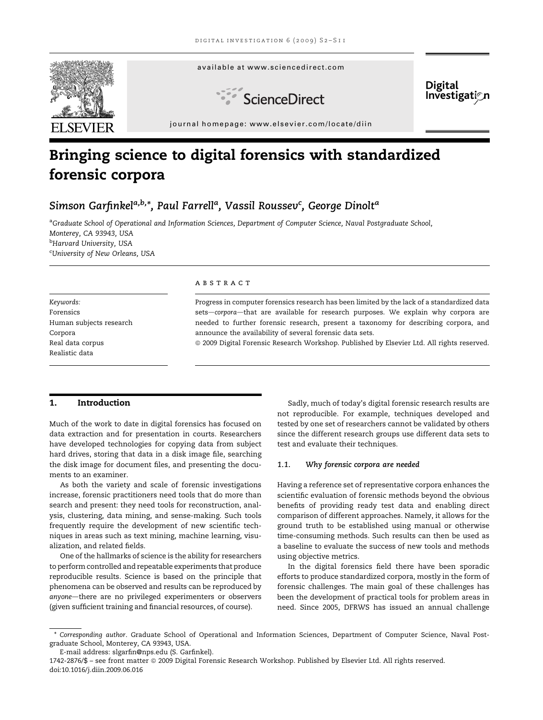

# Bringing science to digital forensics with standardized forensic corpora

# Simson Garfinkel<sup>a,b,</sup>\*, Paul Farrell<sup>a</sup>, Vassil Roussev<sup>c</sup>, George Dinolt<sup>a</sup>

<sup>a</sup>Graduate School of Operational and Information Sciences, Department of Computer Science, Naval Postgraduate School, Monterey, CA 93943, USA <sup>b</sup>Harvard University, USA <sup>c</sup>University of New Orleans, USA

Keywords: Forensics Human subjects research Corpora Real data corpus Realistic data

# abstract

Progress in computer forensics research has been limited by the lack of a standardized data sets-corpora-that are available for research purposes. We explain why corpora are needed to further forensic research, present a taxonomy for describing corpora, and announce the availability of several forensic data sets.

ª 2009 Digital Forensic Research Workshop. Published by Elsevier Ltd. All rights reserved.

# 1. Introduction

Much of the work to date in digital forensics has focused on data extraction and for presentation in courts. Researchers have developed technologies for copying data from subject hard drives, storing that data in a disk image file, searching the disk image for document files, and presenting the documents to an examiner.

As both the variety and scale of forensic investigations increase, forensic practitioners need tools that do more than search and present: they need tools for reconstruction, analysis, clustering, data mining, and sense-making. Such tools frequently require the development of new scientific techniques in areas such as text mining, machine learning, visualization, and related fields.

One of the hallmarks of science is the ability for researchers to perform controlled and repeatable experiments that produce reproducible results. Science is based on the principle that phenomena can be observed and results can be reproduced by anyone-there are no privileged experimenters or observers (given sufficient training and financial resources, of course).

Sadly, much of today's digital forensic research results are not reproducible. For example, techniques developed and tested by one set of researchers cannot be validated by others since the different research groups use different data sets to test and evaluate their techniques.

# 1.1. Why forensic corpora are needed

Having a reference set of representative corpora enhances the scientific evaluation of forensic methods beyond the obvious benefits of providing ready test data and enabling direct comparison of different approaches. Namely, it allows for the ground truth to be established using manual or otherwise time-consuming methods. Such results can then be used as a baseline to evaluate the success of new tools and methods using objective metrics.

In the digital forensics field there have been sporadic efforts to produce standardized corpora, mostly in the form of forensic challenges. The main goal of these challenges has been the development of practical tools for problem areas in need. Since 2005, DFRWS has issued an annual challenge

E-mail address: slgarfin@nps.edu (S. Garfinkel).

<sup>\*</sup> Corresponding author. Graduate School of Operational and Information Sciences, Department of Computer Science, Naval Postgraduate School, Monterey, CA 93943, USA.

<sup>1742-2876/\$ –</sup> see front matter ª 2009 Digital Forensic Research Workshop. Published by Elsevier Ltd. All rights reserved. doi:10.1016/j.diin.2009.06.016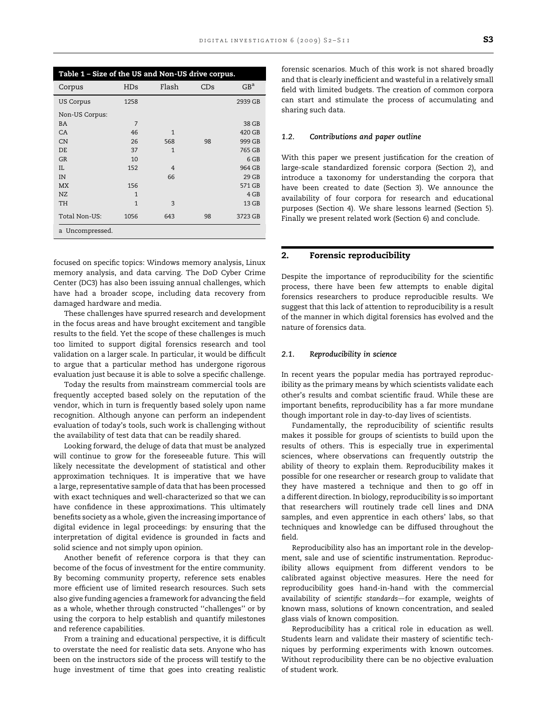| Table 1 - Size of the US and Non-US drive corpus. |            |                |     |                 |
|---------------------------------------------------|------------|----------------|-----|-----------------|
| Corpus                                            | <b>HDs</b> | Flash          | CDs | GB <sup>a</sup> |
| US Corpus                                         | 1258       |                |     | 2939 GB         |
| Non-US Corpus:                                    |            |                |     |                 |
| <b>BA</b>                                         | 7          |                |     | 38 GB           |
| CA                                                | 46         | 1              |     | 420 GB          |
| CN                                                | 26         | 568            | 98  | 999 GB          |
| DE.                                               | 37         | 1              |     | 765 GB          |
| <b>GR</b>                                         | 10         |                |     | 6 GB            |
| II.                                               | 152        | $\overline{4}$ |     | 964 GB          |
| IN                                                |            | 66             |     | 29 GB           |
| <b>MX</b>                                         | 156        |                |     | 571 GB          |
| NZ.                                               | 1          |                |     | 4 GB            |
| TH                                                | 1          | 3              |     | 13 GB           |
| Total Non-US:                                     | 1056       | 643            | 98  | 3723 GB         |
| a Uncompressed.                                   |            |                |     |                 |

focused on specific topics: Windows memory analysis, Linux memory analysis, and data carving. The DoD Cyber Crime Center (DC3) has also been issuing annual challenges, which have had a broader scope, including data recovery from damaged hardware and media.

These challenges have spurred research and development in the focus areas and have brought excitement and tangible results to the field. Yet the scope of these challenges is much too limited to support digital forensics research and tool validation on a larger scale. In particular, it would be difficult to argue that a particular method has undergone rigorous evaluation just because it is able to solve a specific challenge.

Today the results from mainstream commercial tools are frequently accepted based solely on the reputation of the vendor, which in turn is frequently based solely upon name recognition. Although anyone can perform an independent evaluation of today's tools, such work is challenging without the availability of test data that can be readily shared.

Looking forward, the deluge of data that must be analyzed will continue to grow for the foreseeable future. This will likely necessitate the development of statistical and other approximation techniques. It is imperative that we have a large, representative sample of data that has been processed with exact techniques and well-characterized so that we can have confidence in these approximations. This ultimately benefits society as a whole, given the increasing importance of digital evidence in legal proceedings: by ensuring that the interpretation of digital evidence is grounded in facts and solid science and not simply upon opinion.

Another benefit of reference corpora is that they can become of the focus of investment for the entire community. By becoming community property, reference sets enables more efficient use of limited research resources. Such sets also give funding agencies a framework for advancing the field as a whole, whether through constructed ''challenges'' or by using the corpora to help establish and quantify milestones and reference capabilities.

From a training and educational perspective, it is difficult to overstate the need for realistic data sets. Anyone who has been on the instructors side of the process will testify to the huge investment of time that goes into creating realistic

forensic scenarios. Much of this work is not shared broadly and that is clearly inefficient and wasteful in a relatively small field with limited budgets. The creation of common corpora can start and stimulate the process of accumulating and sharing such data.

# 1.2. Contributions and paper outline

With this paper we present justification for the creation of large-scale standardized forensic corpora (Section 2), and introduce a taxonomy for understanding the corpora that have been created to date (Section 3). We announce the availability of four corpora for research and educational purposes (Section 4). We share lessons learned (Section 5). Finally we present related work (Section 6) and conclude.

# 2. Forensic reproducibility

Despite the importance of reproducibility for the scientific process, there have been few attempts to enable digital forensics researchers to produce reproducible results. We suggest that this lack of attention to reproducibility is a result of the manner in which digital forensics has evolved and the nature of forensics data.

#### 2.1. Reproducibility in science

In recent years the popular media has portrayed reproducibility as the primary means by which scientists validate each other's results and combat scientific fraud. While these are important benefits, reproducibility has a far more mundane though important role in day-to-day lives of scientists.

Fundamentally, the reproducibility of scientific results makes it possible for groups of scientists to build upon the results of others. This is especially true in experimental sciences, where observations can frequently outstrip the ability of theory to explain them. Reproducibility makes it possible for one researcher or research group to validate that they have mastered a technique and then to go off in a different direction. In biology, reproducibility is so important that researchers will routinely trade cell lines and DNA samples, and even apprentice in each others' labs, so that techniques and knowledge can be diffused throughout the field.

Reproducibility also has an important role in the development, sale and use of scientific instrumentation. Reproducibility allows equipment from different vendors to be calibrated against objective measures. Here the need for reproducibility goes hand-in-hand with the commercial availability of scientific standards-for example, weights of known mass, solutions of known concentration, and sealed glass vials of known composition.

Reproducibility has a critical role in education as well. Students learn and validate their mastery of scientific techniques by performing experiments with known outcomes. Without reproducibility there can be no objective evaluation of student work.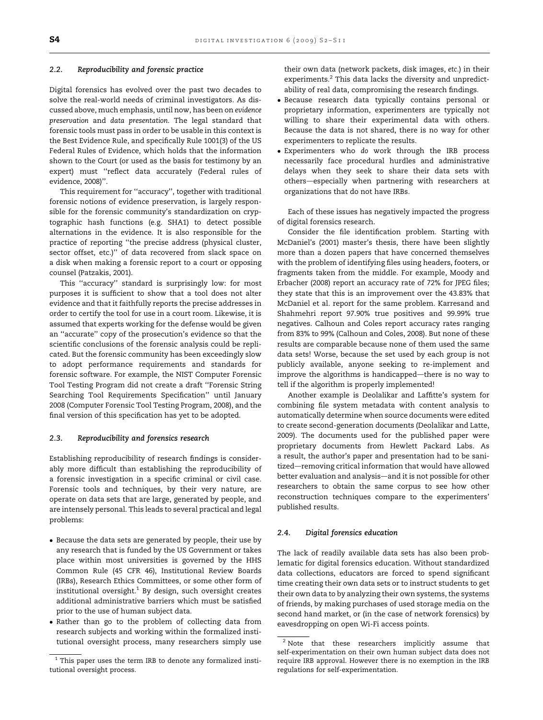# 2.2. Reproducibility and forensic practice

Digital forensics has evolved over the past two decades to solve the real-world needs of criminal investigators. As discussed above, much emphasis, until now, has been on evidence preservation and data presentation. The legal standard that forensic tools must pass in order to be usable in this context is the Best Evidence Rule, and specifically Rule 1001(3) of the US Federal Rules of Evidence, which holds that the information shown to the Court (or used as the basis for testimony by an expert) must ''reflect data accurately (Federal rules of evidence, 2008)''.

This requirement for ''accuracy'', together with traditional forensic notions of evidence preservation, is largely responsible for the forensic community's standardization on cryptographic hash functions (e.g. SHA1) to detect possible alternations in the evidence. It is also responsible for the practice of reporting ''the precise address (physical cluster, sector offset, etc.)'' of data recovered from slack space on a disk when making a forensic report to a court or opposing counsel (Patzakis, 2001).

This ''accuracy'' standard is surprisingly low: for most purposes it is sufficient to show that a tool does not alter evidence and that it faithfully reports the precise addresses in order to certify the tool for use in a court room. Likewise, it is assumed that experts working for the defense would be given an ''accurate'' copy of the prosecution's evidence so that the scientific conclusions of the forensic analysis could be replicated. But the forensic community has been exceedingly slow to adopt performance requirements and standards for forensic software. For example, the NIST Computer Forensic Tool Testing Program did not create a draft ''Forensic String Searching Tool Requirements Specification'' until January 2008 (Computer Forensic Tool Testing Program, 2008), and the final version of this specification has yet to be adopted.

# 2.3. Reproducibility and forensics research

Establishing reproducibility of research findings is considerably more difficult than establishing the reproducibility of a forensic investigation in a specific criminal or civil case. Forensic tools and techniques, by their very nature, are operate on data sets that are large, generated by people, and are intensely personal. This leads to several practical and legal problems:

- Because the data sets are generated by people, their use by any research that is funded by the US Government or takes place within most universities is governed by the HHS Common Rule (45 CFR 46), Institutional Review Boards (IRBs), Research Ethics Committees, or some other form of institutional oversight.<sup>1</sup> By design, such oversight creates additional administrative barriers which must be satisfied prior to the use of human subject data.
- Rather than go to the problem of collecting data from research subjects and working within the formalized institutional oversight process, many researchers simply use

their own data (network packets, disk images, etc.) in their experiments.<sup>2</sup> This data lacks the diversity and unpredictability of real data, compromising the research findings.

- Because research data typically contains personal or proprietary information, experimenters are typically not willing to share their experimental data with others. Because the data is not shared, there is no way for other experimenters to replicate the results.
- Experimenters who do work through the IRB process necessarily face procedural hurdles and administrative delays when they seek to share their data sets with others-especially when partnering with researchers at organizations that do not have IRBs.

Each of these issues has negatively impacted the progress of digital forensics research.

Consider the file identification problem. Starting with McDaniel's (2001) master's thesis, there have been slightly more than a dozen papers that have concerned themselves with the problem of identifying files using headers, footers, or fragments taken from the middle. For example, Moody and Erbacher (2008) report an accuracy rate of 72% for JPEG files; they state that this is an improvement over the 43.83% that McDaniel et al. report for the same problem. Karresand and Shahmehri report 97.90% true positives and 99.99% true negatives. Calhoun and Coles report accuracy rates ranging from 83% to 99% (Calhoun and Coles, 2008). But none of these results are comparable because none of them used the same data sets! Worse, because the set used by each group is not publicly available, anyone seeking to re-implement and improve the algorithms is handicapped—there is no way to tell if the algorithm is properly implemented!

Another example is Deolalikar and Laffitte's system for combining file system metadata with content analysis to automatically determine when source documents were edited to create second-generation documents (Deolalikar and Latte, 2009). The documents used for the published paper were proprietary documents from Hewlett Packard Labs. As a result, the author's paper and presentation had to be sanitized-removing critical information that would have allowed better evaluation and analysis-and it is not possible for other researchers to obtain the same corpus to see how other reconstruction techniques compare to the experimenters' published results.

# 2.4. Digital forensics education

The lack of readily available data sets has also been problematic for digital forensics education. Without standardized data collections, educators are forced to spend significant time creating their own data sets or to instruct students to get their own data to by analyzing their own systems, the systems of friends, by making purchases of used storage media on the second hand market, or (in the case of network forensics) by eavesdropping on open Wi-Fi access points.

 $1$  This paper uses the term IRB to denote any formalized institutional oversight process.

<sup>&</sup>lt;sup>2</sup> Note that these researchers implicitly assume that self-experimentation on their own human subject data does not require IRB approval. However there is no exemption in the IRB regulations for self-experimentation.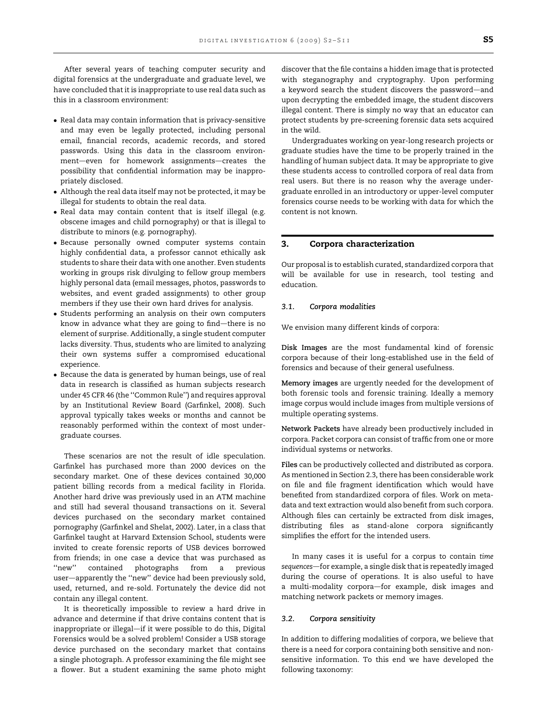After several years of teaching computer security and digital forensics at the undergraduate and graduate level, we have concluded that it is inappropriate to use real data such as this in a classroom environment:

- Real data may contain information that is privacy-sensitive and may even be legally protected, including personal email, financial records, academic records, and stored passwords. Using this data in the classroom environment-even for homework assignments-creates the possibility that confidential information may be inappropriately disclosed.
- $\bullet\,$  Although the real data itself may not be protected, it may be illegal for students to obtain the real data.
- Real data may contain content that is itself illegal (e.g. obscene images and child pornography) or that is illegal to distribute to minors (e.g. pornography).
- Because personally owned computer systems contain highly confidential data, a professor cannot ethically ask students to share their data with one another. Even students working in groups risk divulging to fellow group members highly personal data (email messages, photos, passwords to websites, and event graded assignments) to other group members if they use their own hard drives for analysis.
- Students performing an analysis on their own computers know in advance what they are going to find—there is no element of surprise. Additionally, a single student computer lacks diversity. Thus, students who are limited to analyzing their own systems suffer a compromised educational experience.
- Because the data is generated by human beings, use of real data in research is classified as human subjects research under 45 CFR 46 (the ''Common Rule'') and requires approval by an Institutional Review Board (Garfinkel, 2008). Such approval typically takes weeks or months and cannot be reasonably performed within the context of most undergraduate courses.

These scenarios are not the result of idle speculation. Garfinkel has purchased more than 2000 devices on the secondary market. One of these devices contained 30,000 patient billing records from a medical facility in Florida. Another hard drive was previously used in an ATM machine and still had several thousand transactions on it. Several devices purchased on the secondary market contained pornography (Garfinkel and Shelat, 2002). Later, in a class that Garfinkel taught at Harvard Extension School, students were invited to create forensic reports of USB devices borrowed from friends; in one case a device that was purchased as ''new'' contained photographs from a previous user-apparently the "new" device had been previously sold, used, returned, and re-sold. Fortunately the device did not contain any illegal content.

It is theoretically impossible to review a hard drive in advance and determine if that drive contains content that is inappropriate or illegal—if it were possible to do this, Digital Forensics would be a solved problem! Consider a USB storage device purchased on the secondary market that contains a single photograph. A professor examining the file might see a flower. But a student examining the same photo might

discover that the file contains a hidden image that is protected with steganography and cryptography. Upon performing a keyword search the student discovers the password-and upon decrypting the embedded image, the student discovers illegal content. There is simply no way that an educator can protect students by pre-screening forensic data sets acquired in the wild.

Undergraduates working on year-long research projects or graduate studies have the time to be properly trained in the handling of human subject data. It may be appropriate to give these students access to controlled corpora of real data from real users. But there is no reason why the average undergraduate enrolled in an introductory or upper-level computer forensics course needs to be working with data for which the content is not known.

# 3. Corpora characterization

Our proposal is to establish curated, standardized corpora that will be available for use in research, tool testing and education.

# 3.1. Corpora modalities

We envision many different kinds of corpora:

Disk Images are the most fundamental kind of forensic corpora because of their long-established use in the field of forensics and because of their general usefulness.

Memory images are urgently needed for the development of both forensic tools and forensic training. Ideally a memory image corpus would include images from multiple versions of multiple operating systems.

Network Packets have already been productively included in corpora. Packet corpora can consist of traffic from one or more individual systems or networks.

Files can be productively collected and distributed as corpora. As mentioned in Section 2.3, there has been considerable work on file and file fragment identification which would have benefited from standardized corpora of files. Work on metadata and text extraction would also benefit from such corpora. Although files can certainly be extracted from disk images, distributing files as stand-alone corpora significantly simplifies the effort for the intended users.

In many cases it is useful for a corpus to contain time sequences—for example, a single disk that is repeatedly imaged during the course of operations. It is also useful to have a multi-modality corpora-for example, disk images and matching network packets or memory images.

#### 3.2. Corpora sensitivity

In addition to differing modalities of corpora, we believe that there is a need for corpora containing both sensitive and nonsensitive information. To this end we have developed the following taxonomy: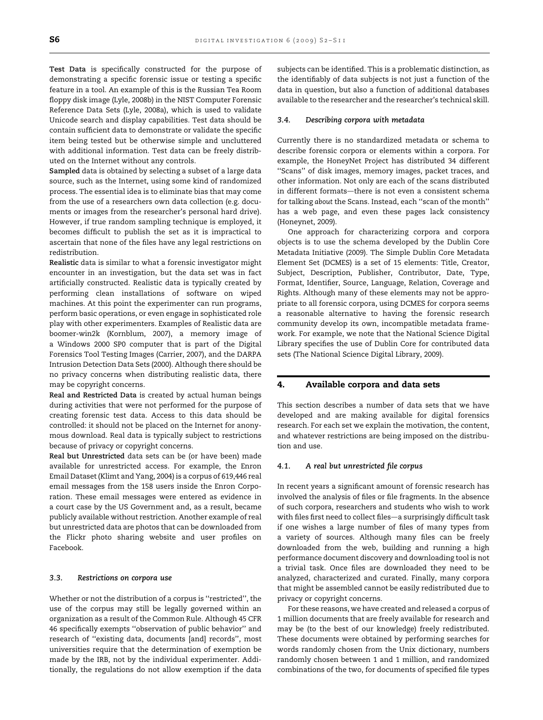Test Data is specifically constructed for the purpose of demonstrating a specific forensic issue or testing a specific feature in a tool. An example of this is the Russian Tea Room floppy disk image (Lyle, 2008b) in the NIST Computer Forensic Reference Data Sets (Lyle, 2008a), which is used to validate Unicode search and display capabilities. Test data should be contain sufficient data to demonstrate or validate the specific item being tested but be otherwise simple and uncluttered with additional information. Test data can be freely distributed on the Internet without any controls.

Sampled data is obtained by selecting a subset of a large data source, such as the Internet, using some kind of randomized process. The essential idea is to eliminate bias that may come from the use of a researchers own data collection (e.g. documents or images from the researcher's personal hard drive). However, if true random sampling technique is employed, it becomes difficult to publish the set as it is impractical to ascertain that none of the files have any legal restrictions on redistribution.

Realistic data is similar to what a forensic investigator might encounter in an investigation, but the data set was in fact artificially constructed. Realistic data is typically created by performing clean installations of software on wiped machines. At this point the experimenter can run programs, perform basic operations, or even engage in sophisticated role play with other experimenters. Examples of Realistic data are boomer-win2k (Kornblum, 2007), a memory image of a Windows 2000 SP0 computer that is part of the Digital Forensics Tool Testing Images (Carrier, 2007), and the DARPA Intrusion Detection Data Sets (2000). Although there should be no privacy concerns when distributing realistic data, there may be copyright concerns.

Real and Restricted Data is created by actual human beings during activities that were not performed for the purpose of creating forensic test data. Access to this data should be controlled: it should not be placed on the Internet for anonymous download. Real data is typically subject to restrictions because of privacy or copyright concerns.

Real but Unrestricted data sets can be (or have been) made available for unrestricted access. For example, the Enron Email Dataset (Klimt and Yang, 2004) is a corpus of 619,446 real email messages from the 158 users inside the Enron Corporation. These email messages were entered as evidence in a court case by the US Government and, as a result, became publicly available without restriction. Another example of real but unrestricted data are photos that can be downloaded from the Flickr photo sharing website and user profiles on Facebook.

# 3.3. Restrictions on corpora use

Whether or not the distribution of a corpus is ''restricted'', the use of the corpus may still be legally governed within an organization as a result of the Common Rule. Although 45 CFR 46 specifically exempts ''observation of public behavior'' and research of ''existing data, documents [and] records'', most universities require that the determination of exemption be made by the IRB, not by the individual experimenter. Additionally, the regulations do not allow exemption if the data subjects can be identified. This is a problematic distinction, as the identifiably of data subjects is not just a function of the data in question, but also a function of additional databases available to the researcher and the researcher's technical skill.

# 3.4. Describing corpora with metadata

Currently there is no standardized metadata or schema to describe forensic corpora or elements within a corpora. For example, the HoneyNet Project has distributed 34 different ''Scans'' of disk images, memory images, packet traces, and other information. Not only are each of the scans distributed in different formats—there is not even a consistent schema for talking about the Scans. Instead, each ''scan of the month'' has a web page, and even these pages lack consistency (Honeynet, 2009).

One approach for characterizing corpora and corpora objects is to use the schema developed by the Dublin Core Metadata Initiative (2009). The Simple Dublin Core Metadata Element Set (DCMES) is a set of 15 elements: Title, Creator, Subject, Description, Publisher, Contributor, Date, Type, Format, Identifier, Source, Language, Relation, Coverage and Rights. Although many of these elements may not be appropriate to all forensic corpora, using DCMES for corpora seems a reasonable alternative to having the forensic research community develop its own, incompatible metadata framework. For example, we note that the National Science Digital Library specifies the use of Dublin Core for contributed data sets (The National Science Digital Library, 2009).

# 4. Available corpora and data sets

This section describes a number of data sets that we have developed and are making available for digital forensics research. For each set we explain the motivation, the content, and whatever restrictions are being imposed on the distribution and use.

# 4.1. A real but unrestricted file corpus

In recent years a significant amount of forensic research has involved the analysis of files or file fragments. In the absence of such corpora, researchers and students who wish to work with files first need to collect files-a surprisingly difficult task if one wishes a large number of files of many types from a variety of sources. Although many files can be freely downloaded from the web, building and running a high performance document discovery and downloading tool is not a trivial task. Once files are downloaded they need to be analyzed, characterized and curated. Finally, many corpora that might be assembled cannot be easily redistributed due to privacy or copyright concerns.

For these reasons, we have created and released a corpus of 1 million documents that are freely available for research and may be (to the best of our knowledge) freely redistributed. These documents were obtained by performing searches for words randomly chosen from the Unix dictionary, numbers randomly chosen between 1 and 1 million, and randomized combinations of the two, for documents of specified file types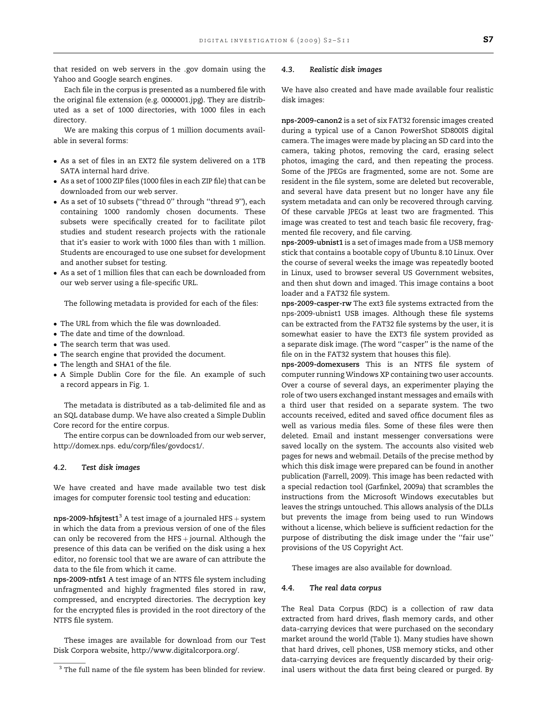that resided on web servers in the .gov domain using the Yahoo and Google search engines.

Each file in the corpus is presented as a numbered file with the original file extension (e.g. 0000001.jpg). They are distributed as a set of 1000 directories, with 1000 files in each directory.

We are making this corpus of 1 million documents available in several forms:

- $\bullet$  As a set of files in an EXT2 file system delivered on a 1TB SATA internal hard drive.
- As a set of 1000 ZIP files (1000 files in each ZIP file) that can be downloaded from our web server.
- As a set of 10 subsets (''thread 0'' through ''thread 9''), each containing 1000 randomly chosen documents. These subsets were specifically created for to facilitate pilot studies and student research projects with the rationale that it's easier to work with 1000 files than with 1 million. Students are encouraged to use one subset for development and another subset for testing.
- As a set of 1 million files that can each be downloaded from our web server using a file-specific URL.

The following metadata is provided for each of the files:

- The URL from which the file was downloaded.
- $\bullet$  The date and time of the download.
- The search term that was used.
- $\bullet$  The search engine that provided the document.
- The length and SHA1 of the file.
- A Simple Dublin Core for the file. An example of such a record appears in Fig. 1.

The metadata is distributed as a tab-delimited file and as an SQL database dump. We have also created a Simple Dublin Core record for the entire corpus.

The entire corpus can be downloaded from our web server, http://domex.nps. edu/corp/files/govdocs1/.

## 4.2. Test disk images

We have created and have made available two test disk images for computer forensic tool testing and education:

nps-2009-hfsjtest $1^3$  A test image of a journaled HFS  $+$  system in which the data from a previous version of one of the files can only be recovered from the HFS  $+$  journal. Although the presence of this data can be verified on the disk using a hex editor, no forensic tool that we are aware of can attribute the data to the file from which it came.

nps-2009-ntfs1 A test image of an NTFS file system including unfragmented and highly fragmented files stored in raw, compressed, and encrypted directories. The decryption key for the encrypted files is provided in the root directory of the NTFS file system.

These images are available for download from our Test Disk Corpora website, http://www.digitalcorpora.org/.

# 4.3. Realistic disk images

We have also created and have made available four realistic disk images:

nps-2009-canon2 is a set of six FAT32 forensic images created during a typical use of a Canon PowerShot SD800IS digital camera. The images were made by placing an SD card into the camera, taking photos, removing the card, erasing select photos, imaging the card, and then repeating the process. Some of the JPEGs are fragmented, some are not. Some are resident in the file system, some are deleted but recoverable, and several have data present but no longer have any file system metadata and can only be recovered through carving. Of these carvable JPEGs at least two are fragmented. This image was created to test and teach basic file recovery, fragmented file recovery, and file carving.

nps-2009-ubnist1 is a set of images made from a USB memory stick that contains a bootable copy of Ubuntu 8.10 Linux. Over the course of several weeks the image was repeatedly booted in Linux, used to browser several US Government websites, and then shut down and imaged. This image contains a boot loader and a FAT32 file system.

nps-2009-casper-rw The ext3 file systems extracted from the nps-2009-ubnist1 USB images. Although these file systems can be extracted from the FAT32 file systems by the user, it is somewhat easier to have the EXT3 file system provided as a separate disk image. (The word ''casper'' is the name of the file on in the FAT32 system that houses this file).

nps-2009-domexusers This is an NTFS file system of computer running Windows XP containing two user accounts. Over a course of several days, an experimenter playing the role of two users exchanged instant messages and emails with a third user that resided on a separate system. The two accounts received, edited and saved office document files as well as various media files. Some of these files were then deleted. Email and instant messenger conversations were saved locally on the system. The accounts also visited web pages for news and webmail. Details of the precise method by which this disk image were prepared can be found in another publication (Farrell, 2009). This image has been redacted with a special redaction tool (Garfinkel, 2009a) that scrambles the instructions from the Microsoft Windows executables but leaves the strings untouched. This allows analysis of the DLLs but prevents the image from being used to run Windows without a license, which believe is sufficient redaction for the purpose of distributing the disk image under the ''fair use'' provisions of the US Copyright Act.

These images are also available for download.

#### 4.4. The real data corpus

The Real Data Corpus (RDC) is a collection of raw data extracted from hard drives, flash memory cards, and other data-carrying devices that were purchased on the secondary market around the world (Table 1). Many studies have shown that hard drives, cell phones, USB memory sticks, and other data-carrying devices are frequently discarded by their orig- $3$  The full name of the file system has been blinded for review. inal users without the data first being cleared or purged. By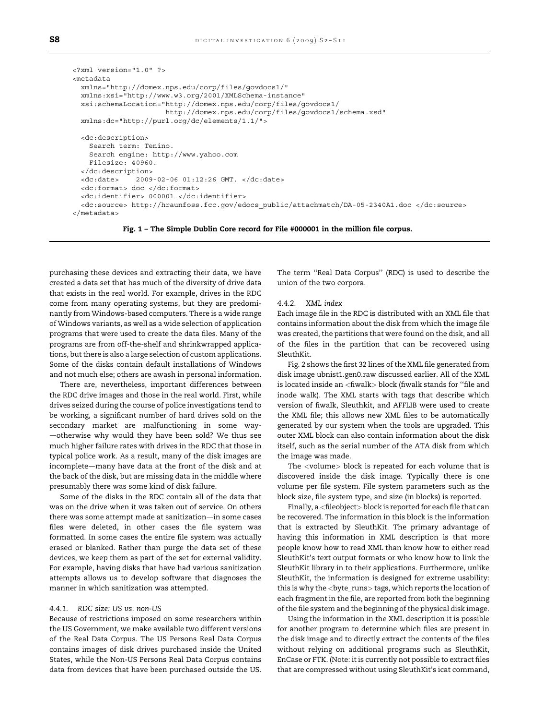```
<?xml version="1.0" ?>
<metadata
 xmlns="http://domex.nps.edu/corp/files/govdocs1/"
 xmlns:xsi="http://www.w3.org/2001/XMLSchema-instance"
 xsi:schemaLocation="http://domex.nps.edu/corp/files/govdocs1/
                     http://domex.nps.edu/corp/files/govdocs1/schema.xsd"
 xmlns:dc="http://purl.org/dc/elements/1.1/">
 <dc:description>
   Search term: Tenino.
   Search engine: http://www.yahoo.com
   Filesize: 40960.
  </dc:description>
  <dc:date> 2009-02-06 01:12:26 GMT. </dc:date>
  <dc:format> doc </dc:format>
  <dc:identifier> 000001 </dc:identifier>
  <dc:source> http://hraunfoss.fcc.gov/edocs_public/attachmatch/DA-05-2340A1.doc </dc:source>
</metadata>
```
#### Fig. 1 – The Simple Dublin Core record for File #000001 in the million file corpus.

purchasing these devices and extracting their data, we have created a data set that has much of the diversity of drive data that exists in the real world. For example, drives in the RDC come from many operating systems, but they are predominantly from Windows-based computers. There is a wide range of Windows variants, as well as a wide selection of application programs that were used to create the data files. Many of the programs are from off-the-shelf and shrinkwrapped applications, but there is also a large selection of custom applications. Some of the disks contain default installations of Windows and not much else; others are awash in personal information.

There are, nevertheless, important differences between the RDC drive images and those in the real world. First, while drives seized during the course of police investigations tend to be working, a significant number of hard drives sold on the secondary market are malfunctioning in some way--otherwise why would they have been sold? We thus see much higher failure rates with drives in the RDC that those in typical police work. As a result, many of the disk images are incomplete-many have data at the front of the disk and at the back of the disk, but are missing data in the middle where presumably there was some kind of disk failure.

Some of the disks in the RDC contain all of the data that was on the drive when it was taken out of service. On others there was some attempt made at sanitization-in some cases files were deleted, in other cases the file system was formatted. In some cases the entire file system was actually erased or blanked. Rather than purge the data set of these devices, we keep them as part of the set for external validity. For example, having disks that have had various sanitization attempts allows us to develop software that diagnoses the manner in which sanitization was attempted.

# 4.4.1. RDC size: US vs. non-US

Because of restrictions imposed on some researchers within the US Government, we make available two different versions of the Real Data Corpus. The US Persons Real Data Corpus contains images of disk drives purchased inside the United States, while the Non-US Persons Real Data Corpus contains data from devices that have been purchased outside the US.

The term ''Real Data Corpus'' (RDC) is used to describe the union of the two corpora.

#### 4.4.2. XML index

Each image file in the RDC is distributed with an XML file that contains information about the disk from which the image file was created, the partitions that were found on the disk, and all of the files in the partition that can be recovered using SleuthKit.

Fig. 2 shows the first 32 lines of the XML file generated from disk image ubnist1.gen0.raw discussed earlier. All of the XML is located inside an <fiwalk> block (fiwalk stands for "file and inode walk). The XML starts with tags that describe which version of fiwalk, Sleuthkit, and AFFLIB were used to create the XML file; this allows new XML files to be automatically generated by our system when the tools are upgraded. This outer XML block can also contain information about the disk itself, such as the serial number of the ATA disk from which the image was made.

The <volume> block is repeated for each volume that is discovered inside the disk image. Typically there is one volume per file system. File system parameters such as the block size, file system type, and size (in blocks) is reported.

Finally, a <fileobject> block is reported for each file that can be recovered. The information in this block is the information that is extracted by SleuthKit. The primary advantage of having this information in XML description is that more people know how to read XML than know how to either read SleuthKit's text output formats or who know how to link the SleuthKit library in to their applications. Furthermore, unlike SleuthKit, the information is designed for extreme usability: this is why the <byte\_runs> tags, which reports the location of each fragment in the file, are reported from both the beginning of the file system and the beginning of the physical disk image.

Using the information in the XML description it is possible for another program to determine which files are present in the disk image and to directly extract the contents of the files without relying on additional programs such as SleuthKit, EnCase or FTK. (Note: it is currently not possible to extract files that are compressed without using SleuthKit's icat command,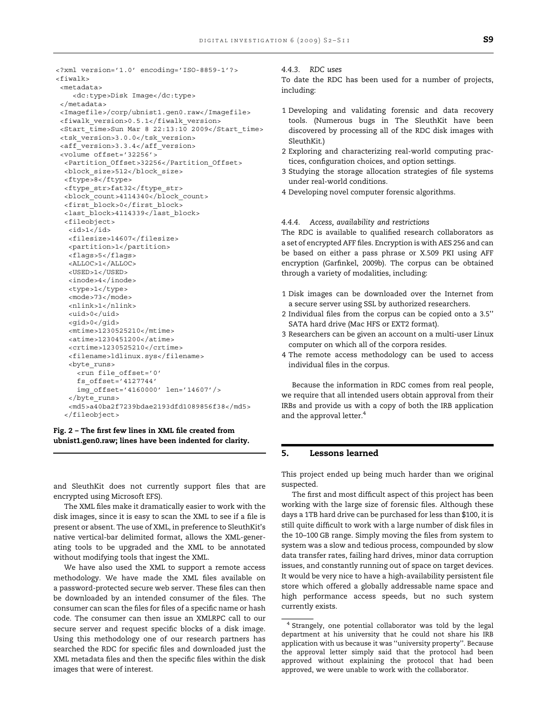```
<?xml version='1.0' encoding='ISO-8859-1'?>
<fiwalk>
<metadata>
    <dc:type>Disk Image</dc:type>
</metadata>
<Imagefile>/corp/ubnist1.gen0.raw</Imagefile>
<fiwalk_version>0.5.1</fiwalk_version>
<Start time>Sun Mar 8 22:13:10 2009</Start time>
<tsk_version>3.0.0</tsk_version>
<aff version>3.3.4</aff version>
<volume offset='32256'>
 <Partition_Offset>32256</Partition_Offset>
 <block_size>512</block_size>
 <ftype>8</ftype>
 <ftype_str>fat32</ftype_str>
 <block_count>4114340</block_count>
 <first_block>0</first_block>
 <last_block>4114339</last_block>
 <fileobject>
  <id>1</id>
  <filesize>14607</filesize>
  <partition>1</partition>
  <flags>5</flags>
  <ALLOC>1</ALLOC>
  <USED>1</USED>
  <inode>4</inode>
  <type>1</type>
  <mode>73</mode>
  <nlink>1</nlink>
  <uid>0</uid>
  <gid>0</gid>
   <mtime>1230525210</mtime>
  <atime>1230451200</atime>
  <crtime>1230525210</crtime>
  <filename>ldlinux.sys</filename>
  <byte_runs>
    <run file_offset='0'
    fs offset='4127744'img_offset='4160000' len='14607'/>
   </byte_runs>
   <md5>a40ba2f7239bdae2193dfd1089856f38</md5>
 </fileobject>
```
# Fig. 2 – The first few lines in XML file created from ubnist1.gen0.raw; lines have been indented for clarity.

and SleuthKit does not currently support files that are encrypted using Microsoft EFS).

The XML files make it dramatically easier to work with the disk images, since it is easy to scan the XML to see if a file is present or absent. The use of XML, in preference to SleuthKit's native vertical-bar delimited format, allows the XML-generating tools to be upgraded and the XML to be annotated without modifying tools that ingest the XML.

We have also used the XML to support a remote access methodology. We have made the XML files available on a password-protected secure web server. These files can then be downloaded by an intended consumer of the files. The consumer can scan the files for files of a specific name or hash code. The consumer can then issue an XMLRPC call to our secure server and request specific blocks of a disk image. Using this methodology one of our research partners has searched the RDC for specific files and downloaded just the XML metadata files and then the specific files within the disk images that were of interest.

#### 4.4.3. RDC uses

To date the RDC has been used for a number of projects, including:

- 1 Developing and validating forensic and data recovery tools. (Numerous bugs in The SleuthKit have been discovered by processing all of the RDC disk images with SleuthKit.)
- 2 Exploring and characterizing real-world computing practices, configuration choices, and option settings.
- 3 Studying the storage allocation strategies of file systems under real-world conditions.
- 4 Developing novel computer forensic algorithms.

# 4.4.4. Access, availability and restrictions

The RDC is available to qualified research collaborators as a set of encrypted AFF files. Encryption is with AES 256 and can be based on either a pass phrase or X.509 PKI using AFF encryption (Garfinkel, 2009b). The corpus can be obtained through a variety of modalities, including:

- 1 Disk images can be downloaded over the Internet from a secure server using SSL by authorized researchers.
- 2 Individual files from the corpus can be copied onto a 3.5'' SATA hard drive (Mac HFS or EXT2 format).
- 3 Researchers can be given an account on a multi-user Linux computer on which all of the corpora resides.
- 4 The remote access methodology can be used to access individual files in the corpus.

Because the information in RDC comes from real people, we require that all intended users obtain approval from their IRBs and provide us with a copy of both the IRB application and the approval letter.<sup>4</sup>

# 5. Lessons learned

This project ended up being much harder than we original suspected.

The first and most difficult aspect of this project has been working with the large size of forensic files. Although these days a 1TB hard drive can be purchased for less than \$100, it is still quite difficult to work with a large number of disk files in the 10–100 GB range. Simply moving the files from system to system was a slow and tedious process, compounded by slow data transfer rates, failing hard drives, minor data corruption issues, and constantly running out of space on target devices. It would be very nice to have a high-availability persistent file store which offered a globally addressable name space and high performance access speeds, but no such system currently exists.

<sup>4</sup> Strangely, one potential collaborator was told by the legal department at his university that he could not share his IRB application with us because it was ''university property''. Because the approval letter simply said that the protocol had been approved without explaining the protocol that had been approved, we were unable to work with the collaborator.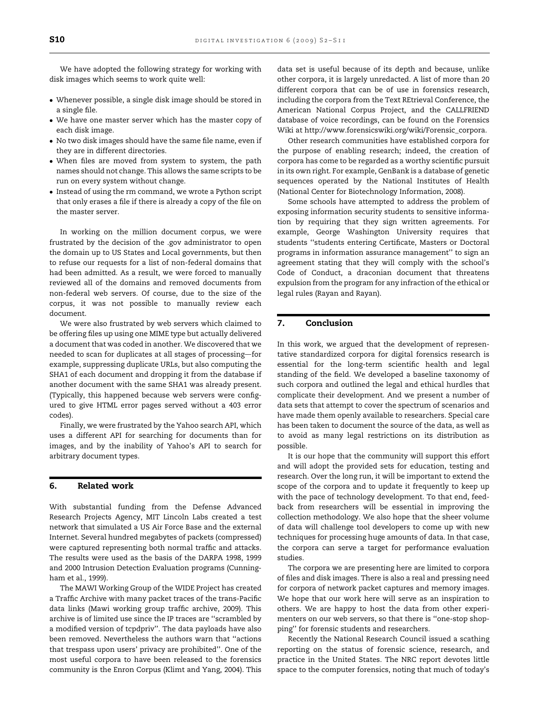We have adopted the following strategy for working with disk images which seems to work quite well:

- Whenever possible, a single disk image should be stored in a single file.
- We have one master server which has the master copy of each disk image.
- No two disk images should have the same file name, even if they are in different directories.
- When files are moved from system to system, the path names should not change. This allows the same scripts to be run on every system without change.
- Instead of using the rm command, we wrote a Python script that only erases a file if there is already a copy of the file on the master server.

In working on the million document corpus, we were frustrated by the decision of the .gov administrator to open the domain up to US States and Local governments, but then to refuse our requests for a list of non-federal domains that had been admitted. As a result, we were forced to manually reviewed all of the domains and removed documents from non-federal web servers. Of course, due to the size of the corpus, it was not possible to manually review each document.

We were also frustrated by web servers which claimed to be offering files up using one MIME type but actually delivered a document that was coded in another. We discovered that we needed to scan for duplicates at all stages of processing-for example, suppressing duplicate URLs, but also computing the SHA1 of each document and dropping it from the database if another document with the same SHA1 was already present. (Typically, this happened because web servers were configured to give HTML error pages served without a 403 error codes).

Finally, we were frustrated by the Yahoo search API, which uses a different API for searching for documents than for images, and by the inability of Yahoo's API to search for arbitrary document types.

# 6. Related work

With substantial funding from the Defense Advanced Research Projects Agency, MIT Lincoln Labs created a test network that simulated a US Air Force Base and the external Internet. Several hundred megabytes of packets (compressed) were captured representing both normal traffic and attacks. The results were used as the basis of the DARPA 1998, 1999 and 2000 Intrusion Detection Evaluation programs (Cunningham et al., 1999).

The MAWI Working Group of the WIDE Project has created a Traffic Archive with many packet traces of the trans-Pacific data links (Mawi working group traffic archive, 2009). This archive is of limited use since the IP traces are ''scrambled by a modified version of tcpdpriv''. The data payloads have also been removed. Nevertheless the authors warn that ''actions that trespass upon users' privacy are prohibited''. One of the most useful corpora to have been released to the forensics community is the Enron Corpus (Klimt and Yang, 2004). This

data set is useful because of its depth and because, unlike other corpora, it is largely unredacted. A list of more than 20 different corpora that can be of use in forensics research, including the corpora from the Text REtrieval Conference, the American National Corpus Project, and the CALLFRIEND database of voice recordings, can be found on the Forensics Wiki at http://www.forensicswiki.org/wiki/Forensic\_corpora.

Other research communities have established corpora for the purpose of enabling research; indeed, the creation of corpora has come to be regarded as a worthy scientific pursuit in its own right. For example, GenBank is a database of genetic sequences operated by the National Institutes of Health (National Center for Biotechnology Information, 2008).

Some schools have attempted to address the problem of exposing information security students to sensitive information by requiring that they sign written agreements. For example, George Washington University requires that students ''students entering Certificate, Masters or Doctoral programs in information assurance management'' to sign an agreement stating that they will comply with the school's Code of Conduct, a draconian document that threatens expulsion from the program for any infraction of the ethical or legal rules (Rayan and Rayan).

# 7. Conclusion

In this work, we argued that the development of representative standardized corpora for digital forensics research is essential for the long-term scientific health and legal standing of the field. We developed a baseline taxonomy of such corpora and outlined the legal and ethical hurdles that complicate their development. And we present a number of data sets that attempt to cover the spectrum of scenarios and have made them openly available to researchers. Special care has been taken to document the source of the data, as well as to avoid as many legal restrictions on its distribution as possible.

It is our hope that the community will support this effort and will adopt the provided sets for education, testing and research. Over the long run, it will be important to extend the scope of the corpora and to update it frequently to keep up with the pace of technology development. To that end, feedback from researchers will be essential in improving the collection methodology. We also hope that the sheer volume of data will challenge tool developers to come up with new techniques for processing huge amounts of data. In that case, the corpora can serve a target for performance evaluation studies.

The corpora we are presenting here are limited to corpora of files and disk images. There is also a real and pressing need for corpora of network packet captures and memory images. We hope that our work here will serve as an inspiration to others. We are happy to host the data from other experimenters on our web servers, so that there is ''one-stop shopping'' for forensic students and researchers.

Recently the National Research Council issued a scathing reporting on the status of forensic science, research, and practice in the United States. The NRC report devotes little space to the computer forensics, noting that much of today's